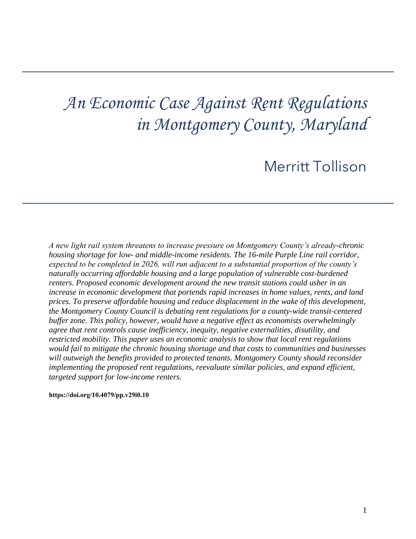# *An Economic Case Against Rent Regulations in Montgomery County, Maryland*

## Merritt Tollison

*A new light rail system threatens to increase pressure on Montgomery County's already-chronic housing shortage for low- and middle-income residents. The 16-mile Purple Line rail corridor, expected to be completed in 2026, will run adjacent to a substantial proportion of the county's naturally occurring affordable housing and a large population of vulnerable cost-burdened renters. Proposed economic development around the new transit stations could usher in an increase in economic development that portends rapid increases in home values, rents, and land prices. To preserve affordable housing and reduce displacement in the wake of this development, the Montgomery County Council is debating rent regulations for a county-wide transit-centered buffer zone. This policy, however, would have a negative effect as economists overwhelmingly agree that rent controls cause inefficiency, inequity, negative externalities, disutility, and restricted mobility. This paper uses an economic analysis to show that local rent regulations would fail to mitigate the chronic housing shortage and that costs to communities and businesses will outweigh the benefits provided to protected tenants. Montgomery County should reconsider implementing the proposed rent regulations, reevaluate similar policies, and expand efficient, targeted support for low-income renters.* 

#### **[https://doi.org/10.4079/pp.v29i0.10](https://doi.org/10.4079/pp.v28i0.9)**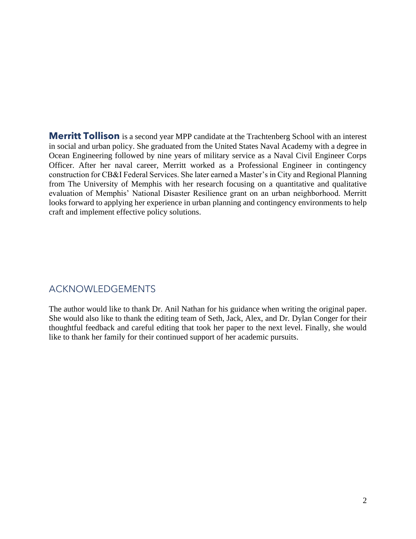in social and urban policy. She graduated from the United States Naval Academy with a degree in Ocean Engineering followed by nine years of military service as a Naval Civil Engineer Corps Officer. After her naval career, Merritt worked as a Professional Engineer in contingency construction for CB&I Federal Services. She later earned a Master's in City and Regional Planning from The University of Memphis with her research focusing on a quantitative and qualitative evaluation of Memphis' National Disaster Resilience grant on an urban neighborhood. Merritt looks forward to applying her experience in urban planning and contingency environments to help **Merritt Tollison** is a second year MPP candidate at the Trachtenberg School with an interest craft and implement effective policy solutions.

## ACKNOWLEDGEMENTS

 thoughtful feedback and careful editing that took her paper to the next level. Finally, she would The author would like to thank Dr. Anil Nathan for his guidance when writing the original paper. She would also like to thank the editing team of Seth, Jack, Alex, and Dr. Dylan Conger for their like to thank her family for their continued support of her academic pursuits.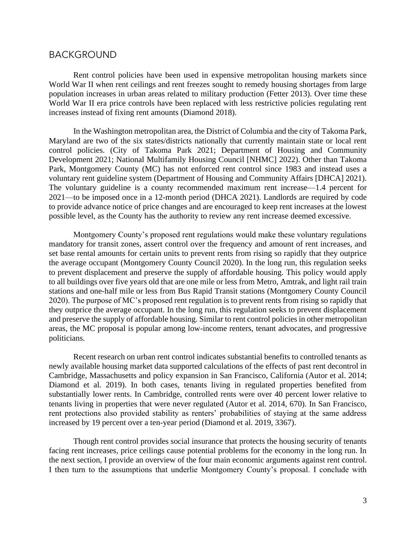#### BACKGROUND

 World War II when rent ceilings and rent freezes sought to remedy housing shortages from large World War II era price controls have been replaced with less restrictive policies regulating rent Rent control policies have been used in expensive metropolitan housing markets since population increases in urban areas related to military production (Fetter 2013). Over time these increases instead of fixing rent amounts (Diamond 2018).

 Maryland are two of the six states/districts nationally that currently maintain state or local rent The voluntary guideline is a county recommended maximum rent increase—1.4 percent for 2021—to be imposed once in a 12-month period (DHCA 2021). Landlords are required by code to provide advance notice of price changes and are encouraged to keep rent increases at the lowest In the Washington metropolitan area, the District of Columbia and the city of Takoma Park, control policies. (City of Takoma Park 2021; Department of Housing and Community Development 2021; National Multifamily Housing Council [NHMC] 2022). Other than Takoma Park, Montgomery County (MC) has not enforced rent control since 1983 and instead uses a voluntary rent guideline system (Department of Housing and Community Affairs [DHCA] 2021). possible level, as the County has the authority to review any rent increase deemed excessive.

 Montgomery County's proposed rent regulations would make these voluntary regulations mandatory for transit zones, assert control over the frequency and amount of rent increases, and to all buildings over five years old that are one mile or less from Metro, Amtrak, and light rail train stations and one-half mile or less from Bus Rapid Transit stations (Montgomery County Council 2020). The purpose of MC's proposed rent regulation is to prevent rents from rising so rapidly that they outprice the average occupant. In the long run, this regulation seeks to prevent displacement areas, the MC proposal is popular among low-income renters, tenant advocates, and progressive set base rental amounts for certain units to prevent rents from rising so rapidly that they outprice the average occupant (Montgomery County Council 2020). In the long run, this regulation seeks to prevent displacement and preserve the supply of affordable housing. This policy would apply and preserve the supply of affordable housing. Similar to rent control policies in other metropolitan politicians.

Recent research on urban rent control indicates substantial benefits to controlled tenants as newly available housing market data supported calculations of the effects of past rent decontrol in Cambridge, Massachusetts and policy expansion in San Francisco, California (Autor et al. 2014; Diamond et al. 2019). In both cases, tenants living in regulated properties benefited from substantially lower rents. In Cambridge, controlled rents were over 40 percent lower relative to tenants living in properties that were never regulated (Autor et al. 2014, 670). In San Francisco, rent protections also provided stability as renters' probabilities of staying at the same address increased by 19 percent over a ten-year period (Diamond et al. 2019, 3367).

 facing rent increases, price ceilings cause potential problems for the economy in the long run. In Though rent control provides social insurance that protects the housing security of tenants the next section, I provide an overview of the four main economic arguments against rent control. I then turn to the assumptions that underlie Montgomery County's proposal. I conclude with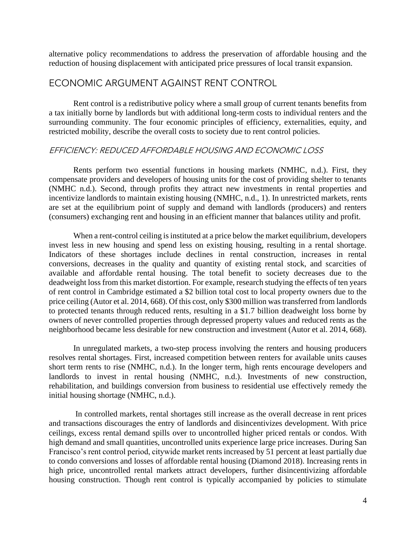alternative policy recommendations to address the preservation of affordable housing and the reduction of housing displacement with anticipated price pressures of local transit expansion.

## ECONOMIC ARGUMENT AGAINST RENT CONTROL

 Rent control is a redistributive policy where a small group of current tenants benefits from surrounding community. The four economic principles of efficiency, externalities, equity, and a tax initially borne by landlords but with additional long-term costs to individual renters and the restricted mobility, describe the overall costs to society due to rent control policies.

#### EFFICIENCY: REDUCED AFFORDABLE HOUSING AND ECONOMIC LOSS

 are set at the equilibrium point of supply and demand with landlords (producers) and renters Rents perform two essential functions in housing markets (NMHC, n.d.). First, they compensate providers and developers of housing units for the cost of providing shelter to tenants (NMHC n.d.). Second, through profits they attract new investments in rental properties and incentivize landlords to maintain existing housing (NMHC, n.d., 1). In unrestricted markets, rents (consumers) exchanging rent and housing in an efficient manner that balances utility and profit.

 When a rent-control ceiling is instituted at a price below the market equilibrium, developers invest less in new housing and spend less on existing housing, resulting in a rental shortage. Indicators of these shortages include declines in rental construction, increases in rental deadweight loss from this market distortion. For example, research studying the effects of ten years of rent control in Cambridge estimated a \$2 billion total cost to local property owners due to the price ceiling (Autor et al. 2014, 668). Of this cost, only \$300 million was transferred from landlords to protected tenants through reduced rents, resulting in a \$1.7 billion deadweight loss borne by conversions, decreases in the quality and quantity of existing rental stock, and scarcities of available and affordable rental housing. The total benefit to society decreases due to the owners of never controlled properties through depressed property values and reduced rents as the neighborhood became less desirable for new construction and investment (Autor et al. 2014, 668).

In unregulated markets, a two-step process involving the renters and housing producers resolves rental shortages. First, increased competition between renters for available units causes short term rents to rise (NMHC, n.d.). In the longer term, high rents encourage developers and landlords to invest in rental housing (NMHC, n.d.). Investments of new construction, rehabilitation, and buildings conversion from business to residential use effectively remedy the initial housing shortage (NMHC, n.d.).

 In controlled markets, rental shortages still increase as the overall decrease in rent prices high demand and small quantities, uncontrolled units experience large price increases. During San high price, uncontrolled rental markets attract developers, further disincentivizing affordable and transactions discourages the entry of landlords and disincentivizes development. With price ceilings, excess rental demand spills over to uncontrolled higher priced rentals or condos. With Francisco's rent control period, citywide market rents increased by 51 percent at least partially due to condo conversions and losses of affordable rental housing (Diamond 2018). Increasing rents in housing construction. Though rent control is typically accompanied by policies to stimulate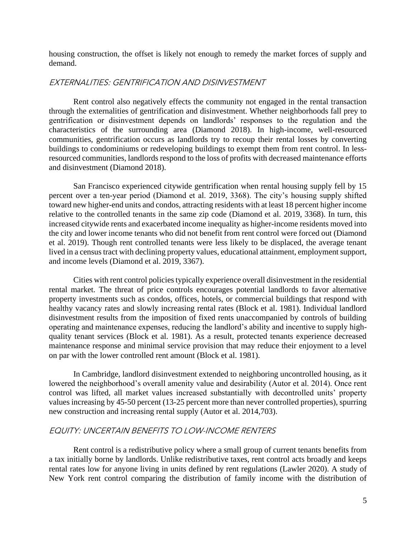housing construction, the offset is likely not enough to remedy the market forces of supply and demand.

#### EXTERNALITIES: GENTRIFICATION AND DISINVESTMENT

 through the externalities of gentrification and disinvestment. Whether neighborhoods fall prey to communities, gentrification occurs as landlords try to recoup their rental losses by converting Rent control also negatively effects the community not engaged in the rental transaction gentrification or disinvestment depends on landlords' responses to the regulation and the characteristics of the surrounding area (Diamond 2018). In high-income, well-resourced buildings to condominiums or redeveloping buildings to exempt them from rent control. In lessresourced communities, landlords respond to the loss of profits with decreased maintenance efforts and disinvestment (Diamond 2018).

 San Francisco experienced citywide gentrification when rental housing supply fell by 15 percent over a ten-year period (Diamond et al. 2019, 3368). The city's housing supply shifted toward new higher-end units and condos, attracting residents with at least 18 percent higher income relative to the controlled tenants in the same zip code (Diamond et al. 2019, 3368). In turn, this increased citywide rents and exacerbated income inequality as higher-income residents moved into the city and lower income tenants who did not benefit from rent control were forced out (Diamond et al. 2019). Though rent controlled tenants were less likely to be displaced, the average tenant lived in a census tract with declining property values, educational attainment, employment support, and income levels (Diamond et al. 2019, 3367).

 Cities with rent control policies typically experience overall disinvestment in the residential healthy vacancy rates and slowly increasing rental rates (Block et al. 1981). Individual landlord disinvestment results from the imposition of fixed rents unaccompanied by controls of building quality tenant services (Block et al. 1981). As a result, protected tenants experience decreased maintenance response and minimal service provision that may reduce their enjoyment to a level rental market. The threat of price controls encourages potential landlords to favor alternative property investments such as condos, offices, hotels, or commercial buildings that respond with operating and maintenance expenses, reducing the landlord's ability and incentive to supply highon par with the lower controlled rent amount (Block et al. 1981).

 lowered the neighborhood's overall amenity value and desirability (Autor et al. 2014). Once rent control was lifted, all market values increased substantially with decontrolled units' property In Cambridge, landlord disinvestment extended to neighboring uncontrolled housing, as it values increasing by 45-50 percent (13-25 percent more than never controlled properties), spurring new construction and increasing rental supply (Autor et al. 2014,703).

#### EQUITY: UNCERTAIN BENEFITS TO LOW-INCOME RENTERS

 Rent control is a redistributive policy where a small group of current tenants benefits from rental rates low for anyone living in units defined by rent regulations (Lawler 2020). A study of a tax initially borne by landlords. Unlike redistributive taxes, rent control acts broadly and keeps New York rent control comparing the distribution of family income with the distribution of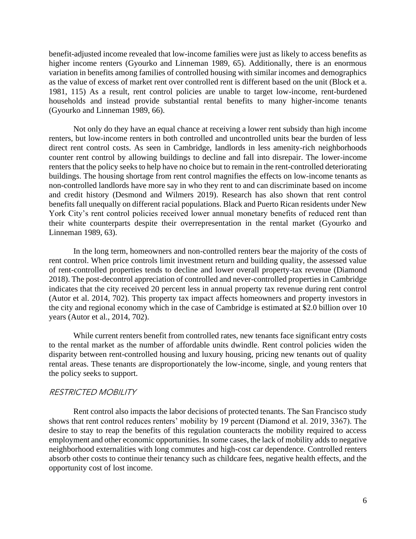benefit-adjusted income revealed that low-income families were just as likely to access benefits as as the value of excess of market rent over controlled rent is different based on the unit (Block et a. higher income renters (Gyourko and Linneman 1989, 65). Additionally, there is an enormous variation in benefits among families of controlled housing with similar incomes and demographics 1981, 115) As a result, rent control policies are unable to target low-income, rent-burdened households and instead provide substantial rental benefits to many higher-income tenants (Gyourko and Linneman 1989, 66).

 counter rent control by allowing buildings to decline and fall into disrepair. The lower-income renters that the policy seeks to help have no choice but to remain in the rent-controlled deteriorating buildings. The housing shortage from rent control magnifies the effects on low-income tenants as non-controlled landlords have more say in who they rent to and can discriminate based on income York City's rent control policies received lower annual monetary benefits of reduced rent than their white counterparts despite their overrepresentation in the rental market (Gyourko and Not only do they have an equal chance at receiving a lower rent subsidy than high income renters, but low-income renters in both controlled and uncontrolled units bear the burden of less direct rent control costs. As seen in Cambridge, landlords in less amenity-rich neighborhoods and credit history (Desmond and Wilmers 2019). Research has also shown that rent control benefits fall unequally on different racial populations. Black and Puerto Rican residents under New Linneman 1989, 63).

 In the long term, homeowners and non-controlled renters bear the majority of the costs of of rent-controlled properties tends to decline and lower overall property-tax revenue (Diamond the city and regional economy which in the case of Cambridge is estimated at \$2.0 billion over 10 rent control. When price controls limit investment return and building quality, the assessed value 2018). The post-decontrol appreciation of controlled and never-controlled properties in Cambridge indicates that the city received 20 percent less in annual property tax revenue during rent control (Autor et al. 2014, 702). This property tax impact affects homeowners and property investors in years (Autor et al., 2014, 702).

 rental areas. These tenants are disproportionately the low-income, single, and young renters that While current renters benefit from controlled rates, new tenants face significant entry costs to the rental market as the number of affordable units dwindle. Rent control policies widen the disparity between rent-controlled housing and luxury housing, pricing new tenants out of quality the policy seeks to support.

#### RESTRICTED MOBILITY

 Rent control also impacts the labor decisions of protected tenants. The San Francisco study employment and other economic opportunities. In some cases, the lack of mobility adds to negative absorb other costs to continue their tenancy such as childcare fees, negative health effects, and the shows that rent control reduces renters' mobility by 19 percent (Diamond et al. 2019, 3367). The desire to stay to reap the benefits of this regulation counteracts the mobility required to access neighborhood externalities with long commutes and high-cost car dependence. Controlled renters opportunity cost of lost income.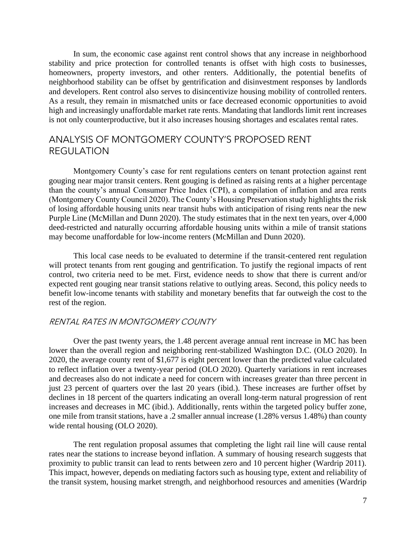In sum, the economic case against rent control shows that any increase in neighborhood stability and price protection for controlled tenants is offset with high costs to businesses, homeowners, property investors, and other renters. Additionally, the potential benefits of neighborhood stability can be offset by gentrification and disinvestment responses by landlords and developers. Rent control also serves to disincentivize housing mobility of controlled renters. As a result, they remain in mismatched units or face decreased economic opportunities to avoid high and increasingly unaffordable market rate rents. Mandating that landlords limit rent increases is not only counterproductive, but it also increases housing shortages and escalates rental rates.

## ANALYSIS OF MONTGOMERY COUNTY'S PROPOSED RENT REGULATION

 Montgomery County's case for rent regulations centers on tenant protection against rent (Montgomery County Council 2020). The County's Housing Preservation study highlights the risk of losing affordable housing units near transit hubs with anticipation of rising rents near the new Purple Line (McMillan and Dunn 2020). The study estimates that in the next ten years, over 4,000 deed-restricted and naturally occurring affordable housing units within a mile of transit stations gouging near major transit centers. Rent gouging is defined as raising rents at a higher percentage than the county's annual Consumer Price Index (CPI), a compilation of inflation and area rents may become unaffordable for low-income renters (McMillan and Dunn 2020).

 This local case needs to be evaluated to determine if the transit-centered rent regulation control, two criteria need to be met. First, evidence needs to show that there is current and/or expected rent gouging near transit stations relative to outlying areas. Second, this policy needs to will protect tenants from rent gouging and gentrification. To justify the regional impacts of rent benefit low-income tenants with stability and monetary benefits that far outweigh the cost to the rest of the region.

#### RENTAL RATES IN MONTGOMERY COUNTY

 Over the past twenty years, the 1.48 percent average annual rent increase in MC has been lower than the overall region and neighboring rent-stabilized Washington D.C. (OLO 2020). In and decreases also do not indicate a need for concern with increases greater than three percent in increases and decreases in MC (ibid.). Additionally, rents within the targeted policy buffer zone, one mile from transit stations, have a .2 smaller annual increase (1.28% versus 1.48%) than county 2020, the average county rent of \$1,677 is eight percent lower than the predicted value calculated to reflect inflation over a twenty-year period (OLO 2020). Quarterly variations in rent increases just 23 percent of quarters over the last 20 years (ibid.). These increases are further offset by declines in 18 percent of the quarters indicating an overall long-term natural progression of rent wide rental housing (OLO 2020).

 The rent regulation proposal assumes that completing the light rail line will cause rental rates near the stations to increase beyond inflation. A summary of housing research suggests that proximity to public transit can lead to rents between zero and 10 percent higher (Wardrip 2011). This impact, however, depends on mediating factors such as housing type, extent and reliability of the transit system, housing market strength, and neighborhood resources and amenities (Wardrip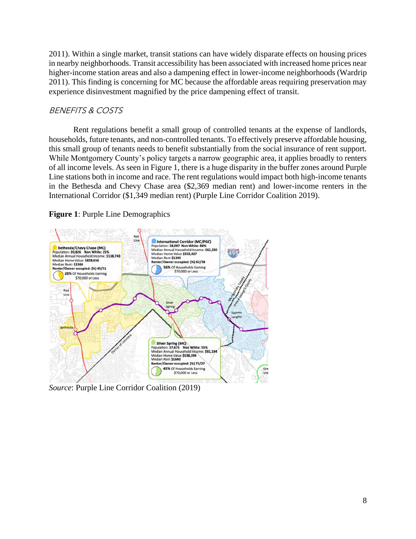2011). Within a single market, transit stations can have widely disparate effects on housing prices in nearby neighborhoods. Transit accessibility has been associated with increased home prices near 2011). This finding is concerning for MC because the affordable areas requiring preservation may higher-income station areas and also a dampening effect in lower-income neighborhoods (Wardrip experience disinvestment magnified by the price dampening effect of transit.

## BENEFITS & COSTS

 Rent regulations benefit a small group of controlled tenants at the expense of landlords, this small group of tenants needs to benefit substantially from the social insurance of rent support. of all income levels. As seen in Figure 1, there is a huge disparity in the buffer zones around Purple Line stations both in income and race. The rent regulations would impact both high-income tenants in the Bethesda and Chevy Chase area (\$2,369 median rent) and lower-income renters in the households, future tenants, and non-controlled tenants. To effectively preserve affordable housing, While Montgomery County's policy targets a narrow geographic area, it applies broadly to renters International Corridor (\$1,349 median rent) (Purple Line Corridor Coalition 2019).

#### **Figure 1**: Purple Line Demographics



*Source*: Purple Line Corridor Coalition (2019)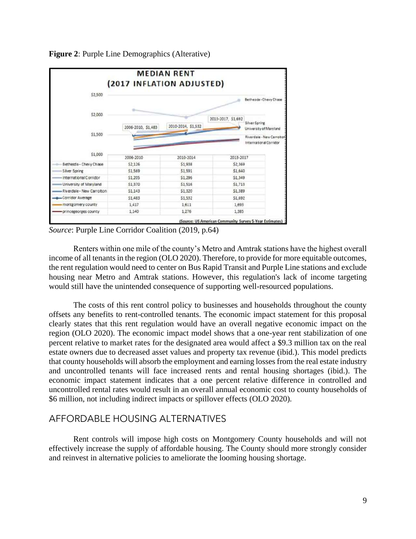

**Figure 2**: Purple Line Demographics (Alterative)

*Source*: Purple Line Corridor Coalition (2019, p.64)

 Renters within one mile of the county's Metro and Amtrak stations have the highest overall income of all tenants in the region (OLO 2020). Therefore, to provide for more equitable outcomes, the rent regulation would need to center on Bus Rapid Transit and Purple Line stations and exclude housing near Metro and Amtrak stations. However, this regulation's lack of income targeting would still have the unintended consequence of supporting well-resourced populations.

 The costs of this rent control policy to businesses and households throughout the county clearly states that this rent regulation would have an overall negative economic impact on the region (OLO 2020). The economic impact model shows that a one-year rent stabilization of one percent relative to market rates for the designated area would affect a \$9.3 million tax on the real estate owners due to decreased asset values and property tax revenue (ibid.). This model predicts that county households will absorb the employment and earning losses from the real estate industry and uncontrolled tenants will face increased rents and rental housing shortages (ibid.). The economic impact statement indicates that a one percent relative difference in controlled and offsets any benefits to rent-controlled tenants. The economic impact statement for this proposal uncontrolled rental rates would result in an overall annual economic cost to county households of \$6 million, not including indirect impacts or spillover effects (OLO 2020).

## AFFORDABLE HOUSING ALTERNATIVES

 Rent controls will impose high costs on Montgomery County households and will not effectively increase the supply of affordable housing. The County should more strongly consider and reinvest in alternative policies to ameliorate the looming housing shortage.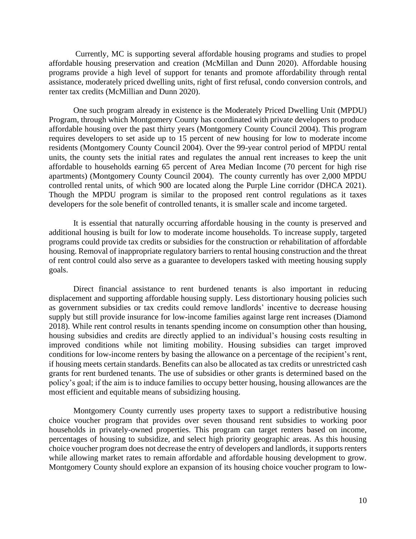programs provide a high level of support for tenants and promote affordability through rental Currently, MC is supporting several affordable housing programs and studies to propel affordable housing preservation and creation (McMillan and Dunn 2020). Affordable housing assistance, moderately priced dwelling units, right of first refusal, condo conversion controls, and renter tax credits (McMillian and Dunn 2020).

 residents (Montgomery County Council 2004). Over the 99-year control period of MPDU rental units, the county sets the initial rates and regulates the annual rent increases to keep the unit affordable to households earning 65 percent of Area Median Income (70 percent for high rise apartments) (Montgomery County Council 2004). The county currently has over 2,000 MPDU controlled rental units, of which 900 are located along the Purple Line corridor (DHCA 2021). Though the MPDU program is similar to the proposed rent control regulations as it taxes One such program already in existence is the Moderately Priced Dwelling Unit (MPDU) Program, through which Montgomery County has coordinated with private developers to produce affordable housing over the past thirty years (Montgomery County Council 2004). This program requires developers to set aside up to 15 percent of new housing for low to moderate income developers for the sole benefit of controlled tenants, it is smaller scale and income targeted.

 additional housing is built for low to moderate income households. To increase supply, targeted of rent control could also serve as a guarantee to developers tasked with meeting housing supply It is essential that naturally occurring affordable housing in the county is preserved and programs could provide tax credits or subsidies for the construction or rehabilitation of affordable housing. Removal of inappropriate regulatory barriers to rental housing construction and the threat goals.

 as government subsidies or tax credits could remove landlords' incentive to decrease housing supply but still provide insurance for low-income families against large rent increases (Diamond housing subsidies and credits are directly applied to an individual's housing costs resulting in grants for rent burdened tenants. The use of subsidies or other grants is determined based on the policy's goal; if the aim is to induce families to occupy better housing, housing allowances are the Direct financial assistance to rent burdened tenants is also important in reducing displacement and supporting affordable housing supply. Less distortionary housing policies such 2018). While rent control results in tenants spending income on consumption other than housing, improved conditions while not limiting mobility. Housing subsidies can target improved conditions for low-income renters by basing the allowance on a percentage of the recipient's rent, if housing meets certain standards. Benefits can also be allocated as tax credits or unrestricted cash most efficient and equitable means of subsidizing housing.

 choice voucher program does not decrease the entry of developers and landlords, it supports renters Montgomery County currently uses property taxes to support a redistributive housing choice voucher program that provides over seven thousand rent subsidies to working poor households in privately-owned properties. This program can target renters based on income, percentages of housing to subsidize, and select high priority geographic areas. As this housing while allowing market rates to remain affordable and affordable housing development to grow. Montgomery County should explore an expansion of its housing choice voucher program to low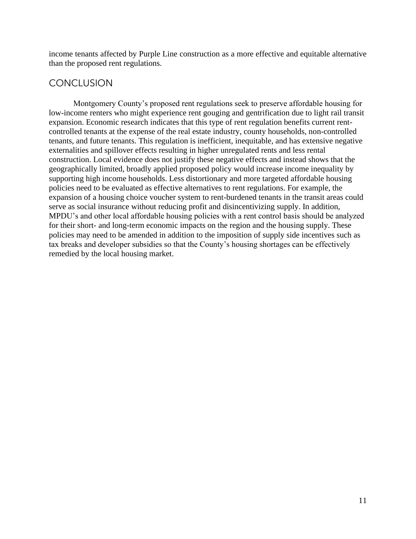income tenants affected by Purple Line construction as a more effective and equitable alternative than the proposed rent regulations.

## **CONCLUSION**

Montgomery County's proposed rent regulations seek to preserve affordable housing for low-income renters who might experience rent gouging and gentrification due to light rail transit expansion. Economic research indicates that this type of rent regulation benefits current rentcontrolled tenants at the expense of the real estate industry, county households, non-controlled tenants, and future tenants. This regulation is inefficient, inequitable, and has extensive negative externalities and spillover effects resulting in higher unregulated rents and less rental construction. Local evidence does not justify these negative effects and instead shows that the geographically limited, broadly applied proposed policy would increase income inequality by supporting high income households. Less distortionary and more targeted affordable housing policies need to be evaluated as effective alternatives to rent regulations. For example, the expansion of a housing choice voucher system to rent-burdened tenants in the transit areas could serve as social insurance without reducing profit and disincentivizing supply. In addition, MPDU's and other local affordable housing policies with a rent control basis should be analyzed for their short- and long-term economic impacts on the region and the housing supply. These policies may need to be amended in addition to the imposition of supply side incentives such as tax breaks and developer subsidies so that the County's housing shortages can be effectively remedied by the local housing market.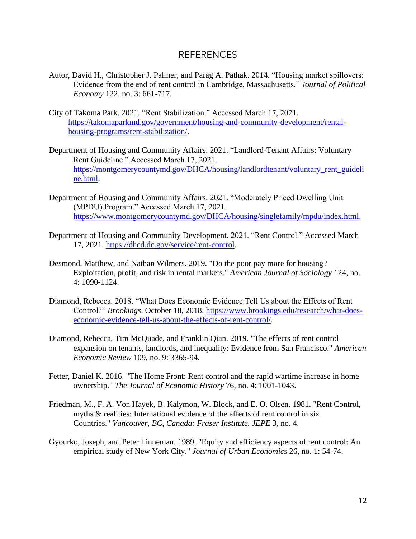#### REFERENCES

- Autor, David H., Christopher J. Palmer, and Parag A. Pathak. 2014. "Housing market spillovers: Evidence from the end of rent control in Cambridge, Massachusetts." *Journal of Political Economy* 122. no. 3: 661-717.
- City of Takoma Park. 2021. "Rent Stabilization." Accessed March 17, 2021. [https://takomaparkmd.gov/government/housing-and-community-development/rental](https://takomaparkmd.gov/government/housing-and-community-development/rental-housing-programs/rent-stabilization/)[housing-programs/rent-stabilization/.](https://takomaparkmd.gov/government/housing-and-community-development/rental-housing-programs/rent-stabilization/)
- Department of Housing and Community Affairs. 2021. "Landlord-Tenant Affairs: Voluntary Rent Guideline." Accessed March 17, 2021. [https://montgomerycountymd.gov/DHCA/housing/landlordtenant/voluntary\\_rent\\_guideli](https://montgomerycountymd.gov/DHCA/housing/landlordtenant/voluntary_rent_guideline.html)  [ne.html.](https://montgomerycountymd.gov/DHCA/housing/landlordtenant/voluntary_rent_guideline.html)
- Department of Housing and Community Affairs. 2021. "Moderately Priced Dwelling Unit (MPDU) Program." Accessed March 17, 2021. [https://www.montgomerycountymd.gov/DHCA/housing/singlefamily/mpdu/index.html.](https://www.montgomerycountymd.gov/DHCA/housing/singlefamily/mpdu/index.html)
- Department of Housing and Community Development. 2021. "Rent Control." Accessed March 17, 2021. [https://dhcd.dc.gov/service/rent-control.](https://dhcd.dc.gov/service/rent-control)
- Desmond, Matthew, and Nathan Wilmers. 2019. "Do the poor pay more for housing? Exploitation, profit, and risk in rental markets." *American Journal of Sociology* 124, no. 4: 1090-1124.
- Diamond, Rebecca. 2018. "What Does Economic Evidence Tell Us about the Effects of Rent Control?" *Brookings*. October 18, 2018. [https://www.brookings.edu/research/what-does](https://www.brookings.edu/research/what-does-economic-evidence-tell-us-about-the-effects-of-rent-control/)[economic-evidence-tell-us-about-the-effects-of-rent-control/.](https://www.brookings.edu/research/what-does-economic-evidence-tell-us-about-the-effects-of-rent-control/)
- Diamond, Rebecca, Tim McQuade, and Franklin Qian. 2019. "The effects of rent control expansion on tenants, landlords, and inequality: Evidence from San Francisco." *American Economic Review* 109, no. 9: 3365-94.
- Fetter, Daniel K. 2016. "The Home Front: Rent control and the rapid wartime increase in home ownership." *The Journal of Economic History* 76, no. 4: 1001-1043.
- Friedman, M., F. A. Von Hayek, B. Kalymon, W. Block, and E. O. Olsen. 1981. "Rent Control, myths & realities: International evidence of the effects of rent control in six Countries." *Vancouver, BC, Canada: Fraser Institute. JEPE* 3, no. 4.
- Gyourko, Joseph, and Peter Linneman. 1989. "Equity and efficiency aspects of rent control: An empirical study of New York City." *Journal of Urban Economics* 26, no. 1: 54-74.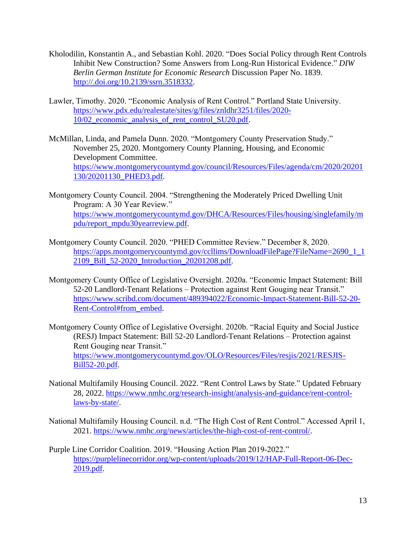- Kholodilin, Konstantin A., and Sebastian Kohl. 2020. "Does Social Policy through Rent Controls Inhibit New Construction? Some Answers from Long-Run Historical Evidence." *DIW Berlin German Institute for Economic Research* Discussion Paper No. 1839. [http://.doi.org/10.2139/ssrn.3518332.](http://.doi.org/10.2139/ssrn.3518332)
- Lawler, Timothy. 2020. "Economic Analysis of Rent Control." Portland State University. [https://www.pdx.edu/realestate/sites/g/files/znldhr3251/files/2020-](https://www.pdx.edu/realestate/sites/g/files/znldhr3251/files/2020-10/02_economic_analysis_of_rent_control_SU20.pdf) [10/02\\_economic\\_analysis\\_of\\_rent\\_control\\_SU20.pdf.](https://www.pdx.edu/realestate/sites/g/files/znldhr3251/files/2020-10/02_economic_analysis_of_rent_control_SU20.pdf)
- McMillan, Linda, and Pamela Dunn. 2020. "Montgomery County Preservation Study." November 25, 2020. Montgomery County Planning, Housing, and Economic Development Committee. [https://www.montgomerycountymd.gov/council/Resources/Files/agenda/cm/2020/20201](https://www.montgomerycountymd.gov/council/Resources/Files/agenda/cm/2020/20201130/20201130_PHED3.pdf)  [130/20201130\\_PHED3.pdf.](https://www.montgomerycountymd.gov/council/Resources/Files/agenda/cm/2020/20201130/20201130_PHED3.pdf)
- Montgomery County Council. 2004. "Strengthening the Moderately Priced Dwelling Unit Program: A 30 Year Review." [https://www.montgomerycountymd.gov/DHCA/Resources/Files/housing/singlefamily/m](https://www.montgomerycountymd.gov/DHCA/Resources/Files/housing/singlefamily/mpdu/report_mpdu30yearreview.pdf)  [pdu/report\\_mpdu30yearreview.pdf.](https://www.montgomerycountymd.gov/DHCA/Resources/Files/housing/singlefamily/mpdu/report_mpdu30yearreview.pdf)
- Montgomery County Council. 2020. "PHED Committee Review." December 8, 2020. https://apps.montgomerycountymd.gov/ccllims/DownloadFilePage?FileName=2690\_1\_1\_1 [2109\\_Bill\\_52-2020\\_Introduction\\_20201208.pdf.](https://apps.montgomerycountymd.gov/ccllims/DownloadFilePage?FileName=2690_1_12109_Bill_52-2020_Introduction_20201208.pdf)
- Montgomery County Office of Legislative Oversight. 2020a. "Economic Impact Statement: Bill 52-20 Landlord-Tenant Relations – Protection against Rent Gouging near Transit." [https://www.scribd.com/document/489394022/Economic-Impact-Statement-Bill-52-20-](https://www.scribd.com/document/489394022/Economic-Impact-Statement-Bill-52-20-Rent-Control#from_embed) [Rent-Control#from\\_embed.](https://www.scribd.com/document/489394022/Economic-Impact-Statement-Bill-52-20-Rent-Control#from_embed)
- Montgomery County Office of Legislative Oversight. 2020b. "Racial Equity and Social Justice (RESJ) Impact Statement: Bill 52-20 Landlord-Tenant Relations – Protection against Rent Gouging near Transit." [https://www.montgomerycountymd.gov/OLO/Resources/Files/resjis/2021/RESJIS-](https://www.montgomerycountymd.gov/OLO/Resources/Files/resjis/2021/RESJIS-Bill52-20.pdf)[Bill52-20.pdf.](https://www.montgomerycountymd.gov/OLO/Resources/Files/resjis/2021/RESJIS-Bill52-20.pdf)
- National Multifamily Housing Council. 2022. "Rent Control Laws by State." Updated February 28, 2022. [https://www.nmhc.org/research-insight/analysis-and-guidance/rent-control](https://www.nmhc.org/research-insight/analysis-and-guidance/rent-control-laws-by-state/)[laws-by-state/.](https://www.nmhc.org/research-insight/analysis-and-guidance/rent-control-laws-by-state/)
- National Multifamily Housing Council. n.d. "The High Cost of Rent Control." Accessed April 1, 2021. [https://www.nmhc.org/news/articles/the-high-cost-of-rent-control/.](https://www.nmhc.org/news/articles/the-high-cost-of-rent-control/)
- Purple Line Corridor Coalition. 2019. "Housing Action Plan 2019-2022." [https://purplelinecorridor.org/wp-content/uploads/2019/12/HAP-Full-Report-06-Dec-](https://purplelinecorridor.org/wp-content/uploads/2019/12/HAP-Full-Report-06-Dec-2019.pdf)[2019.pdf.](https://purplelinecorridor.org/wp-content/uploads/2019/12/HAP-Full-Report-06-Dec-2019.pdf)